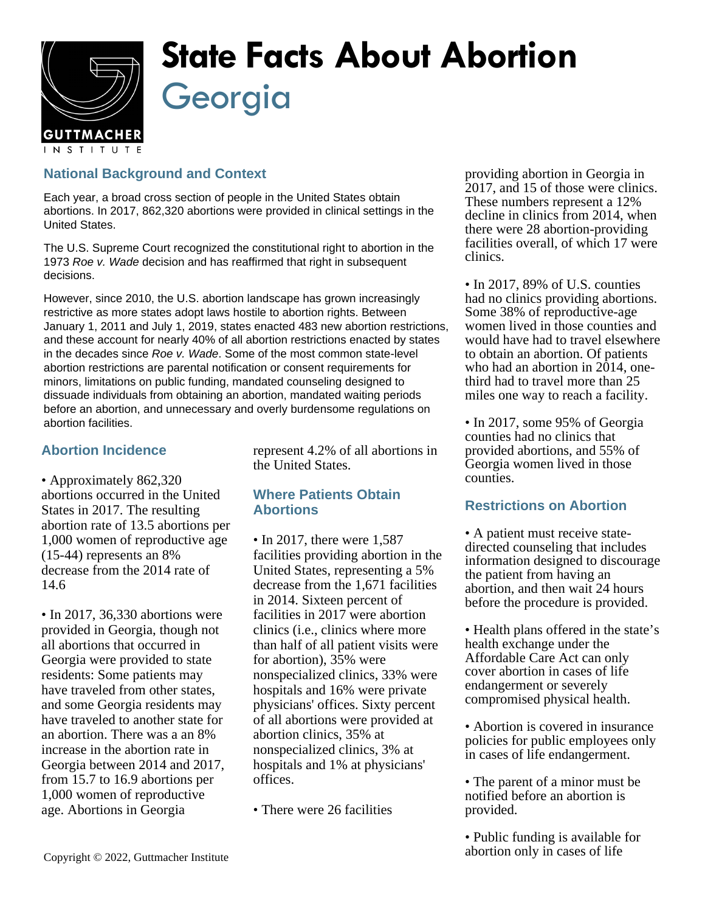

# **State Facts About Abortion** Georgia

## **National Background and Context**

Each year, a broad cross section of people in the United States obtain abortions. In 2017, 862,320 abortions were provided in clinical settings in the United States.

The U.S. Supreme Court recognized the constitutional right to abortion in the 1973 Roe v. Wade decision and has reaffirmed that right in subsequent decisions.

However, since 2010, the U.S. abortion landscape has grown increasingly restrictive as more states adopt laws hostile to abortion rights. Between January 1, 2011 and July 1, 2019, states enacted 483 new abortion restrictions, and these account for nearly 40% of all abortion restrictions enacted by states in the decades since Roe v. Wade. Some of the most common state-level abortion restrictions are parental notification or consent requirements for minors, limitations on public funding, mandated counseling designed to dissuade individuals from obtaining an abortion, mandated waiting periods before an abortion, and unnecessary and overly burdensome regulations on abortion facilities.

### **Abortion Incidence**

• Approximately 862,320 abortions occurred in the United States in 2017. The resulting abortion rate of 13.5 abortions per 1,000 women of reproductive age (15-44) represents an 8% decrease from the 2014 rate of 14.6

• In 2017, 36,330 abortions were provided in Georgia, though not all abortions that occurred in Georgia were provided to state residents: Some patients may have traveled from other states, and some Georgia residents may have traveled to another state for an abortion. There was a an 8% increase in the abortion rate in Georgia between 2014 and 2017, from 15.7 to 16.9 abortions per 1,000 women of reproductive age. Abortions in Georgia

represent 4.2% of all abortions in the United States.

### **Where Patients Obtain Abortions**

- In 2017, there were 1,587 facilities providing abortion in the United States, representing a 5% decrease from the 1,671 facilities in 2014. Sixteen percent of facilities in 2017 were abortion clinics (i.e., clinics where more than half of all patient visits were for abortion), 35% were nonspecialized clinics, 33% were hospitals and 16% were private physicians' offices. Sixty percent of all abortions were provided at abortion clinics, 35% at nonspecialized clinics, 3% at hospitals and 1% at physicians' offices.
- There were 26 facilities

providing abortion in Georgia in 2017, and 15 of those were clinics. These numbers represent a 12% decline in clinics from 2014, when there were 28 abortion-providing facilities overall, of which 17 were clinics.

• In 2017, 89% of U.S. counties had no clinics providing abortions. Some 38% of reproductive-age women lived in those counties and would have had to travel elsewhere to obtain an abortion. Of patients who had an abortion in 2014, onethird had to travel more than 25 miles one way to reach a facility.

• In 2017, some 95% of Georgia counties had no clinics that provided abortions, and 55% of Georgia women lived in those counties.

### **Restrictions on Abortion**

- A patient must receive statedirected counseling that includes information designed to discourage the patient from having an abortion, and then wait 24 hours before the procedure is provided.
- Health plans offered in the state's health exchange under the Affordable Care Act can only cover abortion in cases of life endangerment or severely compromised physical health.

• Abortion is covered in insurance policies for public employees only in cases of life endangerment.

• The parent of a minor must be notified before an abortion is provided.

• Public funding is available for abortion only in cases of life